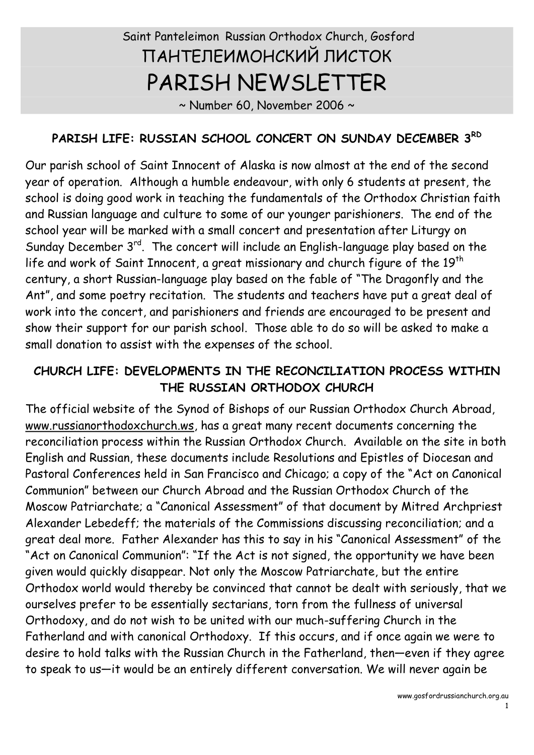# Saint Panteleimon Russian Orthodox Church, Gosford ПАНТЕЛЕИМОНСКИЙ ЛИСТОК PARISH NEWSLETTER

 $\sim$  Number 60, November 2006  $\sim$ 

## **PARISH LIFE: RUSSIAN SCHOOL CONCERT ON SUNDAY DECEMBER 3 RD**

Our parish school of Saint Innocent of Alaska is now almost at the end of the second year of operation. Although a humble endeavour, with only 6 students at present, the school is doing good work in teaching the fundamentals of the Orthodox Christian faith and Russian language and culture to some of our younger parishioners. The end of the school year will be marked with a small concert and presentation after Liturgy on Sunday December 3<sup>rd</sup>. The concert will include an English-language play based on the life and work of Saint Innocent, a great missionary and church figure of the  $19<sup>th</sup>$ century, a short Russian-language play based on the fable of "The Dragonfly and the Ant", and some poetry recitation. The students and teachers have put a great deal of work into the concert, and parishioners and friends are encouraged to be present and show their support for our parish school. Those able to do so will be asked to make a small donation to assist with the expenses of the school.

#### **CHURCH LIFE: DEVELOPMENTS IN THE RECONCILIATION PROCESS WITHIN THE RUSSIAN ORTHODOX CHURCH**

The official website of the Synod of Bishops of our Russian Orthodox Church Abroad, [www.russianorthodoxchurch.ws](http://www.russianorthodoxchurch.ws/), has a great many recent documents concerning the reconciliation process within the Russian Orthodox Church. Available on the site in both English and Russian, these documents include Resolutions and Epistles of Diocesan and Pastoral Conferences held in San Francisco and Chicago; a copy of the "Act on Canonical Communion" between our Church Abroad and the Russian Orthodox Church of the Moscow Patriarchate; a "Canonical Assessment" of that document by Mitred Archpriest Alexander Lebedeff; the materials of the Commissions discussing reconciliation; and a great deal more. Father Alexander has this to say in his "Canonical Assessment" of the "Act on Canonical Communion": "If the Act is not signed, the opportunity we have been given would quickly disappear. Not only the Moscow Patriarchate, but the entire Orthodox world would thereby be convinced that cannot be dealt with seriously, that we ourselves prefer to be essentially sectarians, torn from the fullness of universal Orthodoxy, and do not wish to be united with our much-suffering Church in the Fatherland and with canonical Orthodoxy. If this occurs, and if once again we were to desire to hold talks with the Russian Church in the Fatherland, then—even if they agree to speak to us—it would be an entirely different conversation. We will never again be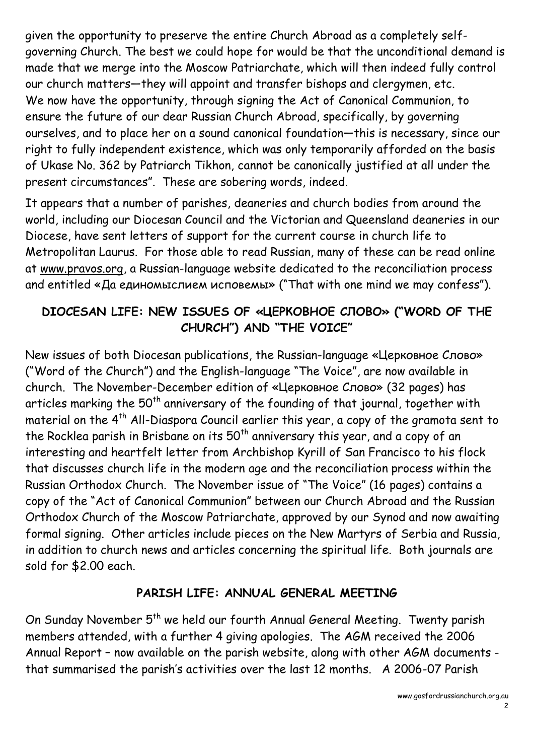given the opportunity to preserve the entire Church Abroad as a completely self governing Church. The best we could hope for would be that the unconditional demand is made that we merge into the Moscow Patriarchate, which will then indeed fully control our church matters—they will appoint and transfer bishops and clergymen, etc. We now have the opportunity, through signing the Act of Canonical Communion, to ensure the future of our dear Russian Church Abroad, specifically, by governing ourselves, and to place her on a sound canonical foundation—this is necessary, since our right to fully independent existence, which was only temporarily afforded on the basis of Ukase No. 362 by Patriarch Tikhon, cannot be canonically justified at all under the present circumstances". These are sobering words, indeed.

It appears that a number of parishes, deaneries and church bodies from around the world, including our Diocesan Council and the Victorian and Queensland deaneries in our Diocese, have sent letters of support for the current course in church life to Metropolitan Laurus. For those able to read Russian, many of these can be read online at [www.pravos.org,](http://www.pravos.org/) a Russian-language website dedicated to the reconciliation process and entitled «Да единомыслием исповемы» ("That with one mind we may confess").

## **DIOCESAN LIFE: NEW ISSUES OF «ЦЕРКОВНОЕ СЛОВО» ("WORD OF THE CHURCH") AND "THE VOICE"**

New issues of both Diocesan publications, the Russian-language «Церковное Слово» ("Word of the Church") and the English-language "The Voice", are now available in church. The November-December edition of «Церковное Слово» (32 pages) has articles marking the 50<sup>th</sup> anniversary of the founding of that journal, together with material on the 4<sup>th</sup> All-Diaspora Council earlier this year, a copy of the gramota sent to the Rocklea parish in Brisbane on its  $50<sup>th</sup>$  anniversary this year, and a copy of an interesting and heartfelt letter from Archbishop Kyrill of San Francisco to his flock that discusses church life in the modern age and the reconciliation process within the Russian Orthodox Church. The November issue of "The Voice" (16 pages) contains a copy of the "Act of Canonical Communion" between our Church Abroad and the Russian Orthodox Church of the Moscow Patriarchate, approved by our Synod and now awaiting formal signing. Other articles include pieces on the New Martyrs of Serbia and Russia, in addition to church news and articles concerning the spiritual life. Both journals are sold for \$2.00 each.

### **PARISH LIFE: ANNUAL GENERAL MEETING**

On Sunday November 5<sup>th</sup> we held our fourth Annual General Meeting. Twenty parish members attended, with a further 4 giving apologies. The AGM received the 2006 Annual Report – now available on the parish website, along with other AGM documents that summarised the parish's activities over the last 12 months. A 2006-07 Parish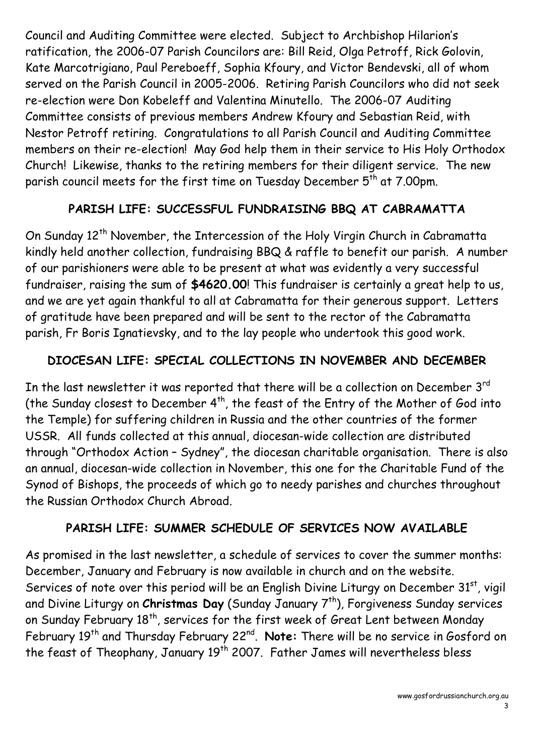Council and Auditing Committee were elected. Subject to Archbishop Hilarion's ratification, the 2006-07 Parish Councilors are: Bill Reid, Olga Petroff, Rick Golovin, Kate Marcotrigiano, Paul Pereboeff, Sophia Kfoury, and Victor Bendevski, all of whom served on the Parish Council in 2005-2006. Retiring Parish Councilors who did not seek re-election were Don Kobeleff and Valentina Minutello. The 2006-07 Auditing Committee consists of previous members Andrew Kfoury and Sebastian Reid, with Nestor Petroff retiring. Congratulations to all Parish Council and Auditing Committee members on their re-election! May God help them in their service to His Holy Orthodox Church! Likewise, thanks to the retiring members for their diligent service. The new parish council meets for the first time on Tuesday December  $5<sup>th</sup>$  at 7.00pm.

## **PARISH LIFE: SUCCESSFUL FUNDRAISING BBQ AT CABRAMATTA**

On Sunday 12<sup>th</sup> November, the Intercession of the Holy Virgin Church in Cabramatta kindly held another collection, fundraising BBQ & raffle to benefit our parish. A number of our parishioners were able to be present at what was evidently a very successful fundraiser, raising the sum of **\$4620.00**! This fundraiser is certainly a great help to us, and we are yet again thankful to all at Cabramatta for their generous support. Letters of gratitude have been prepared and will be sent to the rector of the Cabramatta parish, Fr Boris Ignatievsky, and to the lay people who undertook this good work.

### **DIOCESAN LIFE: SPECIAL COLLECTIONS IN NOVEMBER AND DECEMBER**

In the last newsletter it was reported that there will be a collection on December  $3<sup>rd</sup>$ (the Sunday closest to December  $4^{th}$ , the feast of the Entry of the Mother of God into the Temple) for suffering children in Russia and the other countries of the former USSR. All funds collected at this annual, diocesan-wide collection are distributed through "Orthodox Action – Sydney", the diocesan charitable organisation. There is also an annual, diocesan-wide collection in November, this one for the Charitable Fund of the Synod of Bishops, the proceeds of which go to needy parishes and churches throughout the Russian Orthodox Church Abroad.

### **PARISH LIFE: SUMMER SCHEDULE OF SERVICES NOW AVAILABLE**

As promised in the last newsletter, a schedule of services to cover the summer months: December, January and February is now available in church and on the website. Services of note over this period will be an English Divine Liturgy on December 31st, vigil and Divine Liturgy on *Christmas Day* (Sunday January 7<sup>th</sup>), Forgiveness Sunday services on Sunday February 18<sup>th</sup>, services for the first week of Great Lent between Monday February 19<sup>th</sup> and Thursday February 22<sup>nd</sup>. **Note:** There will be no service in Gosford on the feast of Theophany, January 19<sup>th</sup> 2007. Father James will nevertheless bless